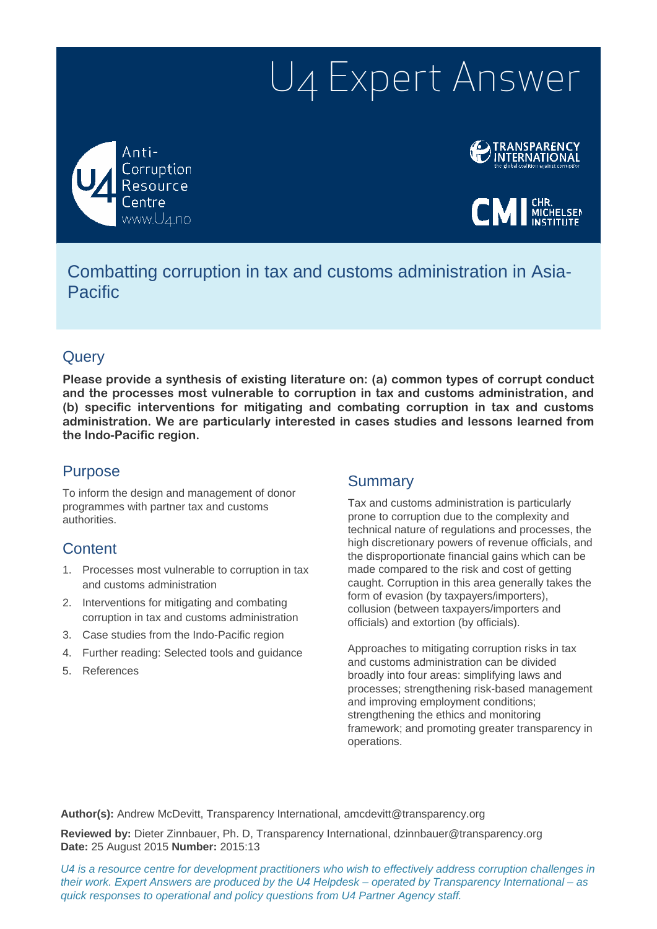# U4 Expert Answer

Anti-Corruption Resource www.U4.no



 $CMI$  Michelsen

## Combatting corruption in tax and customs administration in Asia-Pacific

## **Query**

**Please provide a synthesis of existing literature on: (a) common types of corrupt conduct and the processes most vulnerable to corruption in tax and customs administration, and (b) specific interventions for mitigating and combating corruption in tax and customs administration. We are particularly interested in cases studies and lessons learned from the Indo-Pacific region.**

## Purpose

To inform the design and management of donor programmes with partner tax and customs authorities.

## **Content**

- 1. Processes most vulnerable to corruption in tax and customs administration
- 2. Interventions for mitigating and combating corruption in tax and customs administration
- 3. Case studies from the Indo-Pacific region
- 4. Further reading: Selected tools and guidance
- 5. References

### **Summary**

Tax and customs administration is particularly prone to corruption due to the complexity and technical nature of regulations and processes, the high discretionary powers of revenue officials, and the disproportionate financial gains which can be made compared to the risk and cost of getting caught. Corruption in this area generally takes the form of evasion (by taxpayers/importers), collusion (between taxpayers/importers and officials) and extortion (by officials).

Approaches to mitigating corruption risks in tax and customs administration can be divided broadly into four areas: simplifying laws and processes; strengthening risk-based management and improving employment conditions; strengthening the ethics and monitoring framework; and promoting greater transparency in operations.

**Author(s):** Andrew McDevitt, Transparency International, amcdevitt@transparency.org

**Reviewed by:** Dieter Zinnbauer, Ph. D, Transparency International, dzinnbauer@transparency.org **Date:** 25 August 2015 **Number:** 2015:13

*U4 is a resource centre for development practitioners who wish to effectively address corruption challenges in their work. Expert Answers are produced by the U4 Helpdesk – operated by Transparency International – as quick responses to operational and policy questions from U4 Partner Agency staff.*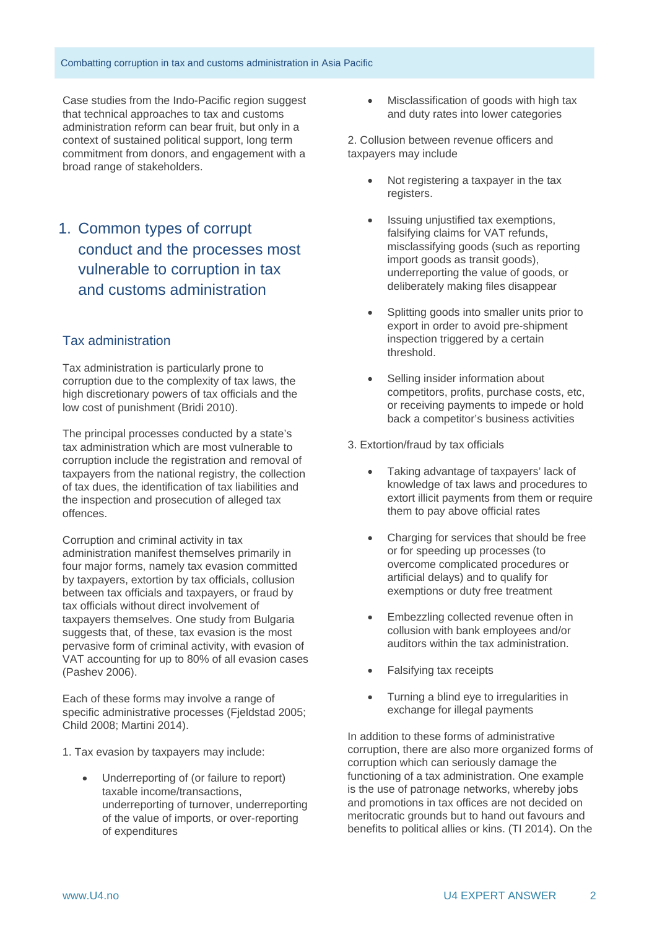Case studies from the Indo-Pacific region suggest that technical approaches to tax and customs administration reform can bear fruit, but only in a context of sustained political support, long term commitment from donors, and engagement with a broad range of stakeholders.

1. Common types of corrupt conduct and the processes most vulnerable to corruption in tax and customs administration

#### Tax administration

Tax administration is particularly prone to corruption due to the complexity of tax laws, the high discretionary powers of tax officials and the low cost of punishment (Bridi 2010).

The principal processes conducted by a state's tax administration which are most vulnerable to corruption include the registration and removal of taxpayers from the national registry, the collection of tax dues, the identification of tax liabilities and the inspection and prosecution of alleged tax offences.

Corruption and criminal activity in tax administration manifest themselves primarily in four major forms, namely tax evasion committed by taxpayers, extortion by tax officials, collusion between tax officials and taxpayers, or fraud by tax officials without direct involvement of taxpayers themselves. One study from Bulgaria suggests that, of these, tax evasion is the most pervasive form of criminal activity, with evasion of VAT accounting for up to 80% of all evasion cases (Pashev 2006).

Each of these forms may involve a range of specific administrative processes (Fieldstad 2005; Child 2008; Martini 2014).

- 1. Tax evasion by taxpayers may include:
	- Underreporting of (or failure to report) taxable income/transactions, underreporting of turnover, underreporting of the value of imports, or over-reporting of expenditures

• Misclassification of goods with high tax and duty rates into lower categories

2. Collusion between revenue officers and taxpayers may include

- Not registering a taxpayer in the tax registers.
- Issuing unjustified tax exemptions, falsifying claims for VAT refunds, misclassifying goods (such as reporting import goods as transit goods), underreporting the value of goods, or deliberately making files disappear
- Splitting goods into smaller units prior to export in order to avoid pre-shipment inspection triggered by a certain threshold.
- Selling insider information about competitors, profits, purchase costs, etc, or receiving payments to impede or hold back a competitor's business activities

3. Extortion/fraud by tax officials

- Taking advantage of taxpayers' lack of knowledge of tax laws and procedures to extort illicit payments from them or require them to pay above official rates
- Charging for services that should be free or for speeding up processes (to overcome complicated procedures or artificial delays) and to qualify for exemptions or duty free treatment
- Embezzling collected revenue often in collusion with bank employees and/or auditors within the tax administration.
- Falsifying tax receipts
- Turning a blind eye to irregularities in exchange for illegal payments

In addition to these forms of administrative corruption, there are also more organized forms of corruption which can seriously damage the functioning of a tax administration. One example is the use of patronage networks, whereby jobs and promotions in tax offices are not decided on meritocratic grounds but to hand out favours and benefits to political allies or kins. (TI 2014). On the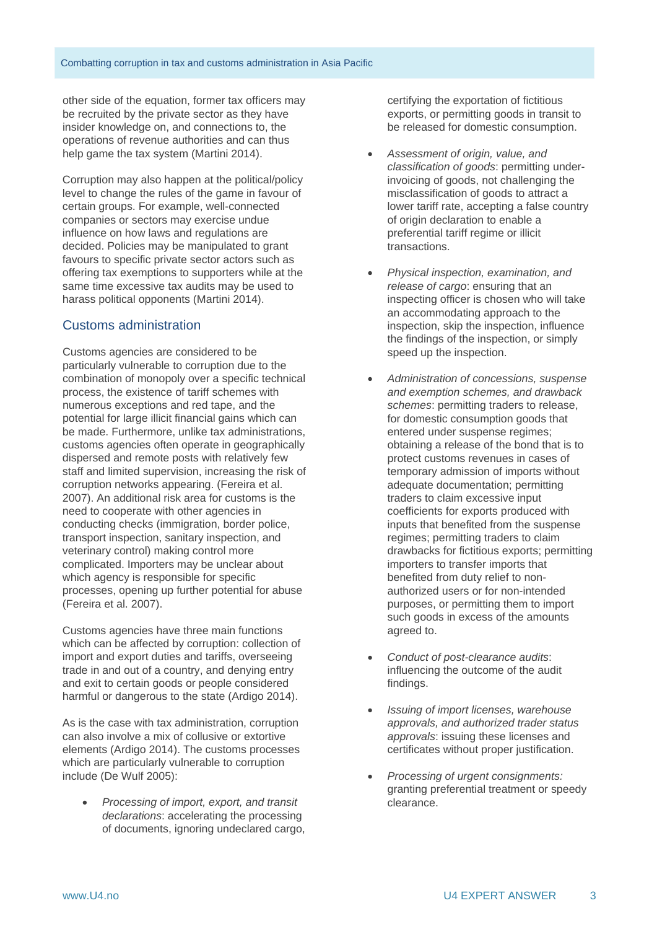other side of the equation, former tax officers may be recruited by the private sector as they have insider knowledge on, and connections to, the operations of revenue authorities and can thus help game the tax system (Martini 2014).

Corruption may also happen at the political/policy level to change the rules of the game in favour of certain groups. For example, well-connected companies or sectors may exercise undue influence on how laws and regulations are decided. Policies may be manipulated to grant favours to specific private sector actors such as offering tax exemptions to supporters while at the same time excessive tax audits may be used to harass political opponents (Martini 2014).

#### Customs administration

Customs agencies are considered to be particularly vulnerable to corruption due to the combination of monopoly over a specific technical process, the existence of tariff schemes with numerous exceptions and red tape, and the potential for large illicit financial gains which can be made. Furthermore, unlike tax administrations, customs agencies often operate in geographically dispersed and remote posts with relatively few staff and limited supervision, increasing the risk of corruption networks appearing. (Fereira et al. 2007). An additional risk area for customs is the need to cooperate with other agencies in conducting checks (immigration, border police, transport inspection, sanitary inspection, and veterinary control) making control more complicated. Importers may be unclear about which agency is responsible for specific processes, opening up further potential for abuse (Fereira et al. 2007).

Customs agencies have three main functions which can be affected by corruption: collection of import and export duties and tariffs, overseeing trade in and out of a country, and denying entry and exit to certain goods or people considered harmful or dangerous to the state (Ardigo 2014).

As is the case with tax administration, corruption can also involve a mix of collusive or extortive elements (Ardigo 2014). The customs processes which are particularly vulnerable to corruption include (De Wulf 2005):

• *Processing of import, export, and transit declarations*: accelerating the processing of documents, ignoring undeclared cargo, certifying the exportation of fictitious exports, or permitting goods in transit to be released for domestic consumption.

- *Assessment of origin, value, and classification of goods*: permitting underinvoicing of goods, not challenging the misclassification of goods to attract a lower tariff rate, accepting a false country of origin declaration to enable a preferential tariff regime or illicit transactions.
- *Physical inspection, examination, and release of cargo*: ensuring that an inspecting officer is chosen who will take an accommodating approach to the inspection, skip the inspection, influence the findings of the inspection, or simply speed up the inspection.
- *Administration of concessions, suspense and exemption schemes, and drawback schemes*: permitting traders to release, for domestic consumption goods that entered under suspense regimes; obtaining a release of the bond that is to protect customs revenues in cases of temporary admission of imports without adequate documentation; permitting traders to claim excessive input coefficients for exports produced with inputs that benefited from the suspense regimes; permitting traders to claim drawbacks for fictitious exports; permitting importers to transfer imports that benefited from duty relief to nonauthorized users or for non-intended purposes, or permitting them to import such goods in excess of the amounts agreed to.
- *Conduct of post-clearance audits*: influencing the outcome of the audit findings.
- *Issuing of import licenses, warehouse approvals, and authorized trader status approvals*: issuing these licenses and certificates without proper justification.
- *Processing of urgent consignments:* granting preferential treatment or speedy clearance.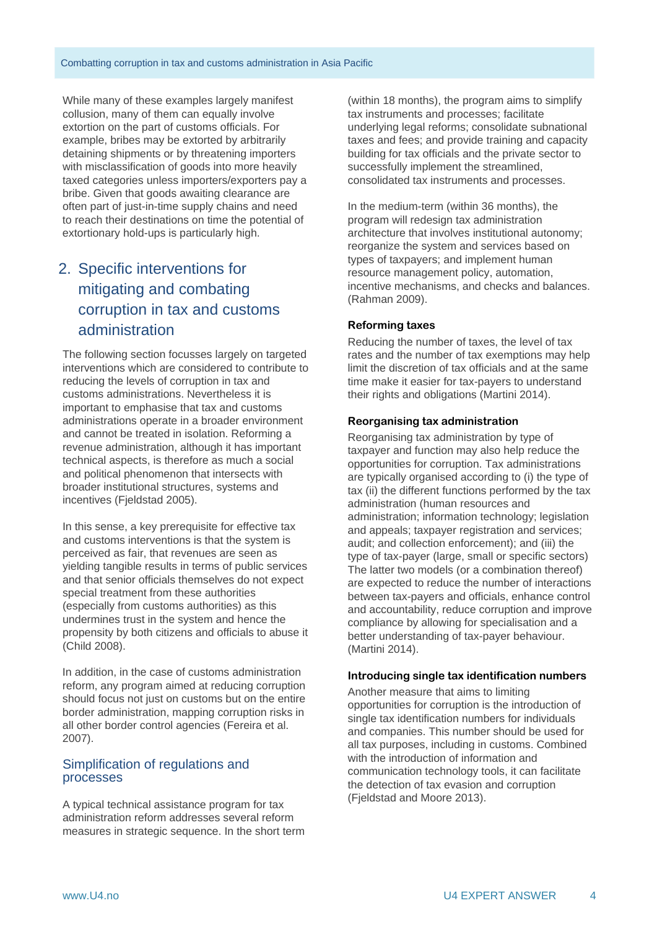While many of these examples largely manifest collusion, many of them can equally involve extortion on the part of customs officials. For example, bribes may be extorted by arbitrarily detaining shipments or by threatening importers with misclassification of goods into more heavily taxed categories unless importers/exporters pay a bribe. Given that goods awaiting clearance are often part of just-in-time supply chains and need to reach their destinations on time the potential of extortionary hold-ups is particularly high.

## 2. Specific interventions for mitigating and combating corruption in tax and customs administration

The following section focusses largely on targeted interventions which are considered to contribute to reducing the levels of corruption in tax and customs administrations. Nevertheless it is important to emphasise that tax and customs administrations operate in a broader environment and cannot be treated in isolation. Reforming a revenue administration, although it has important technical aspects, is therefore as much a social and political phenomenon that intersects with broader institutional structures, systems and incentives (Fjeldstad 2005).

In this sense, a key prerequisite for effective tax and customs interventions is that the system is perceived as fair, that revenues are seen as yielding tangible results in terms of public services and that senior officials themselves do not expect special treatment from these authorities (especially from customs authorities) as this undermines trust in the system and hence the propensity by both citizens and officials to abuse it (Child 2008).

In addition, in the case of customs administration reform, any program aimed at reducing corruption should focus not just on customs but on the entire border administration, mapping corruption risks in all other border control agencies (Fereira et al. 2007).

#### Simplification of regulations and processes

A typical technical assistance program for tax administration reform addresses several reform measures in strategic sequence. In the short term

(within 18 months), the program aims to simplify tax instruments and processes; facilitate underlying legal reforms; consolidate subnational taxes and fees; and provide training and capacity building for tax officials and the private sector to successfully implement the streamlined, consolidated tax instruments and processes.

In the medium-term (within 36 months), the program will redesign tax administration architecture that involves institutional autonomy; reorganize the system and services based on types of taxpayers; and implement human resource management policy, automation, incentive mechanisms, and checks and balances. (Rahman 2009).

#### **Reforming taxes**

Reducing the number of taxes, the level of tax rates and the number of tax exemptions may help limit the discretion of tax officials and at the same time make it easier for tax-payers to understand their rights and obligations (Martini 2014).

#### **Reorganising tax administration**

Reorganising tax administration by type of taxpayer and function may also help reduce the opportunities for corruption. Tax administrations are typically organised according to (i) the type of tax (ii) the different functions performed by the tax administration (human resources and administration; information technology; legislation and appeals; taxpayer registration and services; audit; and collection enforcement); and (iii) the type of tax-payer (large, small or specific sectors) The latter two models (or a combination thereof) are expected to reduce the number of interactions between tax-payers and officials, enhance control and accountability, reduce corruption and improve compliance by allowing for specialisation and a better understanding of tax-payer behaviour. (Martini 2014).

#### **Introducing single tax identification numbers**

Another measure that aims to limiting opportunities for corruption is the introduction of single tax identification numbers for individuals and companies. This number should be used for all tax purposes, including in customs. Combined with the introduction of information and communication technology tools, it can facilitate the detection of tax evasion and corruption (Fjeldstad and Moore 2013).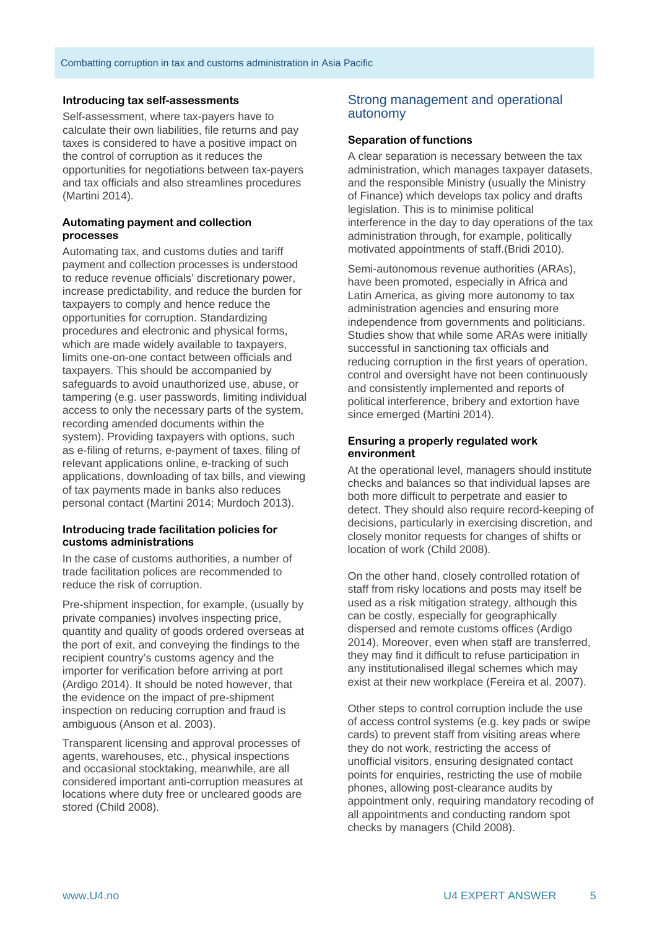#### **Introducing tax self-assessments**

Self-assessment, where tax-payers have to calculate their own liabilities, file returns and pay taxes is considered to have a positive impact on the control of corruption as it reduces the opportunities for negotiations between tax-payers and tax officials and also streamlines procedures (Martini 2014).

#### **Automating payment and collection processes**

Automating tax, and customs duties and tariff payment and collection processes is understood to reduce revenue officials' discretionary power, increase predictability, and reduce the burden for taxpayers to comply and hence reduce the opportunities for corruption. Standardizing procedures and electronic and physical forms, which are made widely available to taxpayers, limits one-on-one contact between officials and taxpayers. This should be accompanied by safeguards to avoid unauthorized use, abuse, or tampering (e.g. user passwords, limiting individual access to only the necessary parts of the system, recording amended documents within the system). Providing taxpayers with options, such as e-filing of returns, e-payment of taxes, filing of relevant applications online, e-tracking of such applications, downloading of tax bills, and viewing of tax payments made in banks also reduces personal contact (Martini 2014; Murdoch 2013).

#### **Introducing trade facilitation policies for customs administrations**

In the case of customs authorities, a number of trade facilitation polices are recommended to reduce the risk of corruption.

Pre-shipment inspection, for example, (usually by private companies) involves inspecting price, quantity and quality of goods ordered overseas at the port of exit, and conveying the findings to the recipient country's customs agency and the importer for verification before arriving at port (Ardigo 2014). It should be noted however, that the evidence on the impact of pre-shipment inspection on reducing corruption and fraud is ambiguous (Anson et al. 2003).

Transparent licensing and approval processes of agents, warehouses, etc., physical inspections and occasional stocktaking, meanwhile, are all considered important anti-corruption measures at locations where duty free or uncleared goods are stored (Child 2008).

#### Strong management and operational autonomy

#### **Separation of functions**

A clear separation is necessary between the tax administration, which manages taxpayer datasets, and the responsible Ministry (usually the Ministry of Finance) which develops tax policy and drafts legislation. This is to minimise political interference in the day to day operations of the tax administration through, for example, politically motivated appointments of staff.(Bridi 2010).

Semi-autonomous revenue authorities (ARAs), have been promoted, especially in Africa and Latin America, as giving more autonomy to tax administration agencies and ensuring more independence from governments and politicians. Studies show that while some ARAs were initially successful in sanctioning tax officials and reducing corruption in the first years of operation, control and oversight have not been continuously and consistently implemented and reports of political interference, bribery and extortion have since emerged (Martini 2014).

#### **Ensuring a properly regulated work environment**

At the operational level, managers should institute checks and balances so that individual lapses are both more difficult to perpetrate and easier to detect. They should also require record-keeping of decisions, particularly in exercising discretion, and closely monitor requests for changes of shifts or location of work (Child 2008).

On the other hand, closely controlled rotation of staff from risky locations and posts may itself be used as a risk mitigation strategy, although this can be costly, especially for geographically dispersed and remote customs offices (Ardigo 2014). Moreover, even when staff are transferred, they may find it difficult to refuse participation in any institutionalised illegal schemes which may exist at their new workplace (Fereira et al. 2007).

Other steps to control corruption include the use of access control systems (e.g. key pads or swipe cards) to prevent staff from visiting areas where they do not work, restricting the access of unofficial visitors, ensuring designated contact points for enquiries, restricting the use of mobile phones, allowing post-clearance audits by appointment only, requiring mandatory recoding of all appointments and conducting random spot checks by managers (Child 2008).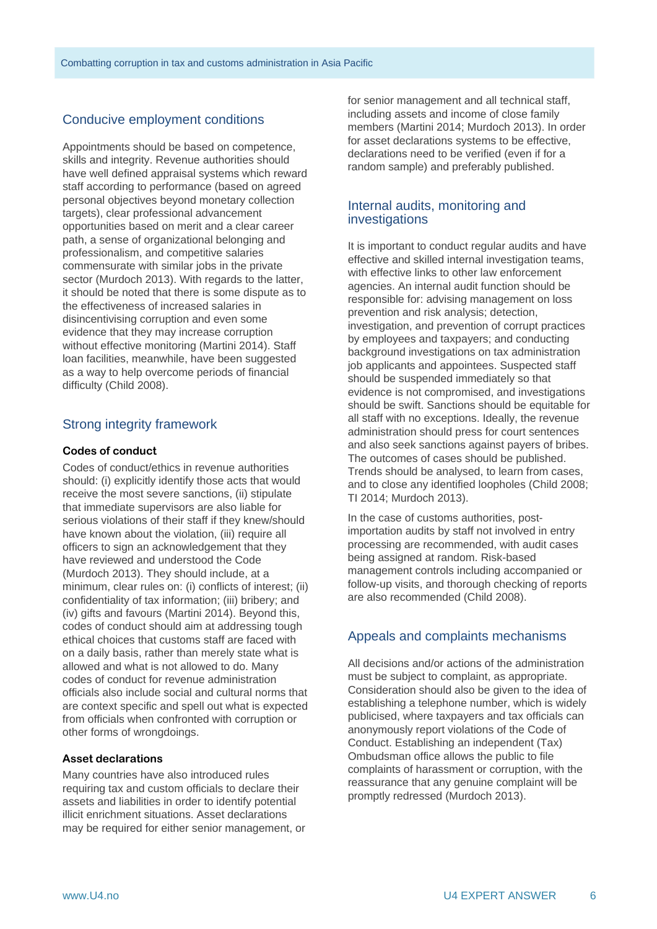#### Conducive employment conditions

Appointments should be based on competence, skills and integrity. Revenue authorities should have well defined appraisal systems which reward staff according to performance (based on agreed personal objectives beyond monetary collection targets), clear professional advancement opportunities based on merit and a clear career path, a sense of organizational belonging and professionalism, and competitive salaries commensurate with similar jobs in the private sector (Murdoch 2013). With regards to the latter, it should be noted that there is some dispute as to the effectiveness of increased salaries in disincentivising corruption and even some evidence that they may increase corruption without effective monitoring (Martini 2014). Staff loan facilities, meanwhile, have been suggested as a way to help overcome periods of financial difficulty (Child 2008).

#### Strong integrity framework

#### **Codes of conduct**

Codes of conduct/ethics in revenue authorities should: (i) explicitly identify those acts that would receive the most severe sanctions, (ii) stipulate that immediate supervisors are also liable for serious violations of their staff if they knew/should have known about the violation, (iii) require all officers to sign an acknowledgement that they have reviewed and understood the Code (Murdoch 2013). They should include, at a minimum, clear rules on: (i) conflicts of interest; (ii) confidentiality of tax information; (iii) bribery; and (iv) gifts and favours (Martini 2014). Beyond this, codes of conduct should aim at addressing tough ethical choices that customs staff are faced with on a daily basis, rather than merely state what is allowed and what is not allowed to do. Many codes of conduct for revenue administration officials also include social and cultural norms that are context specific and spell out what is expected from officials when confronted with corruption or other forms of wrongdoings.

#### **Asset declarations**

Many countries have also introduced rules requiring tax and custom officials to declare their assets and liabilities in order to identify potential illicit enrichment situations. Asset declarations may be required for either senior management, or for senior management and all technical staff, including assets and income of close family members (Martini 2014; Murdoch 2013). In order for asset declarations systems to be effective, declarations need to be verified (even if for a random sample) and preferably published.

#### Internal audits, monitoring and investigations

It is important to conduct regular audits and have effective and skilled internal investigation teams, with effective links to other law enforcement agencies. An internal audit function should be responsible for: advising management on loss prevention and risk analysis; detection, investigation, and prevention of corrupt practices by employees and taxpayers; and conducting background investigations on tax administration job applicants and appointees. Suspected staff should be suspended immediately so that evidence is not compromised, and investigations should be swift. Sanctions should be equitable for all staff with no exceptions. Ideally, the revenue administration should press for court sentences and also seek sanctions against payers of bribes. The outcomes of cases should be published. Trends should be analysed, to learn from cases, and to close any identified loopholes (Child 2008; TI 2014; Murdoch 2013).

In the case of customs authorities, postimportation audits by staff not involved in entry processing are recommended, with audit cases being assigned at random. Risk-based management controls including accompanied or follow-up visits, and thorough checking of reports are also recommended (Child 2008).

#### Appeals and complaints mechanisms

All decisions and/or actions of the administration must be subject to complaint, as appropriate. Consideration should also be given to the idea of establishing a telephone number, which is widely publicised, where taxpayers and tax officials can anonymously report violations of the Code of Conduct. Establishing an independent (Tax) Ombudsman office allows the public to file complaints of harassment or corruption, with the reassurance that any genuine complaint will be promptly redressed (Murdoch 2013).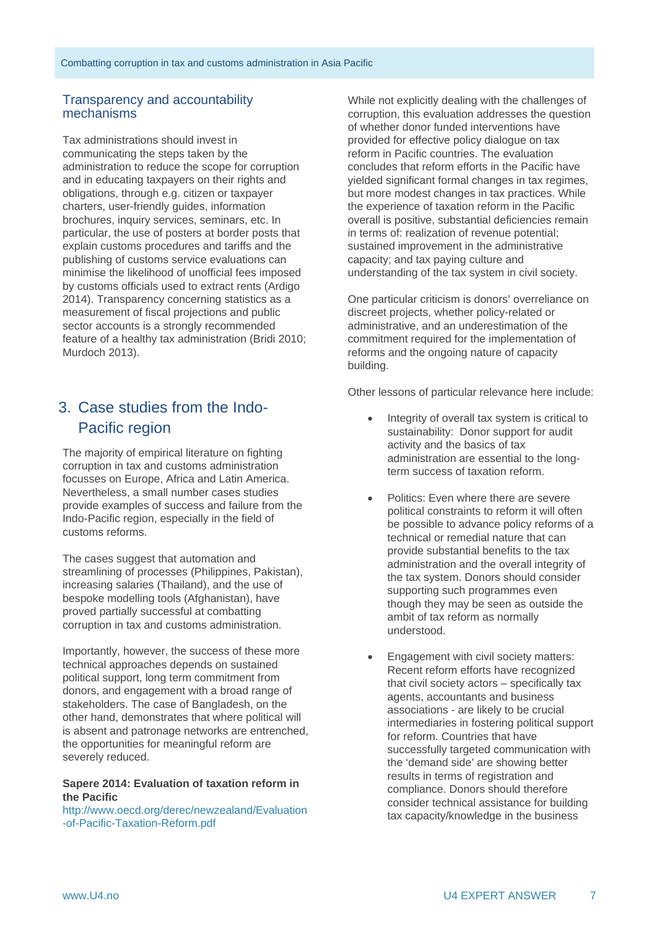#### Transparency and accountability mechanisms

Tax administrations should invest in communicating the steps taken by the administration to reduce the scope for corruption and in educating taxpayers on their rights and obligations, through e.g. citizen or taxpayer charters, user-friendly guides, information brochures, inquiry services, seminars, etc. In particular, the use of posters at border posts that explain customs procedures and tariffs and the publishing of customs service evaluations can minimise the likelihood of unofficial fees imposed by customs officials used to extract rents (Ardigo 2014). Transparency concerning statistics as a measurement of fiscal projections and public sector accounts is a strongly recommended feature of a healthy tax administration (Bridi 2010; Murdoch 2013).

## 3. Case studies from the Indo-Pacific region

The majority of empirical literature on fighting corruption in tax and customs administration focusses on Europe, Africa and Latin America. Nevertheless, a small number cases studies provide examples of success and failure from the Indo-Pacific region, especially in the field of customs reforms.

The cases suggest that automation and streamlining of processes (Philippines, Pakistan), increasing salaries (Thailand), and the use of bespoke modelling tools (Afghanistan), have proved partially successful at combatting corruption in tax and customs administration.

Importantly, however, the success of these more technical approaches depends on sustained political support, long term commitment from donors, and engagement with a broad range of stakeholders. The case of Bangladesh, on the other hand, demonstrates that where political will is absent and patronage networks are entrenched, the opportunities for meaningful reform are severely reduced.

#### **Sapere 2014: Evaluation of taxation reform in the Pacific**

[http://www.oecd.org/derec/newzealand/Evaluation](http://www.oecd.org/derec/newzealand/Evaluation-of-Pacific-Taxation-Reform.pdf) [-of-Pacific-Taxation-Reform.pdf](http://www.oecd.org/derec/newzealand/Evaluation-of-Pacific-Taxation-Reform.pdf)

While not explicitly dealing with the challenges of corruption, this evaluation addresses the question of whether donor funded interventions have provided for effective policy dialogue on tax reform in Pacific countries. The evaluation concludes that reform efforts in the Pacific have yielded significant formal changes in tax regimes, but more modest changes in tax practices. While the experience of taxation reform in the Pacific overall is positive, substantial deficiencies remain in terms of: realization of revenue potential; sustained improvement in the administrative capacity; and tax paying culture and understanding of the tax system in civil society.

One particular criticism is donors' overreliance on discreet projects, whether policy-related or administrative, and an underestimation of the commitment required for the implementation of reforms and the ongoing nature of capacity building.

Other lessons of particular relevance here include:

- Integrity of overall tax system is critical to sustainability: Donor support for audit activity and the basics of tax administration are essential to the longterm success of taxation reform.
- Politics: Even where there are severe political constraints to reform it will often be possible to advance policy reforms of a technical or remedial nature that can provide substantial benefits to the tax administration and the overall integrity of the tax system. Donors should consider supporting such programmes even though they may be seen as outside the ambit of tax reform as normally understood.
- Engagement with civil society matters: Recent reform efforts have recognized that civil society actors – specifically tax agents, accountants and business associations - are likely to be crucial intermediaries in fostering political support for reform. Countries that have successfully targeted communication with the 'demand side' are showing better results in terms of registration and compliance. Donors should therefore consider technical assistance for building tax capacity/knowledge in the business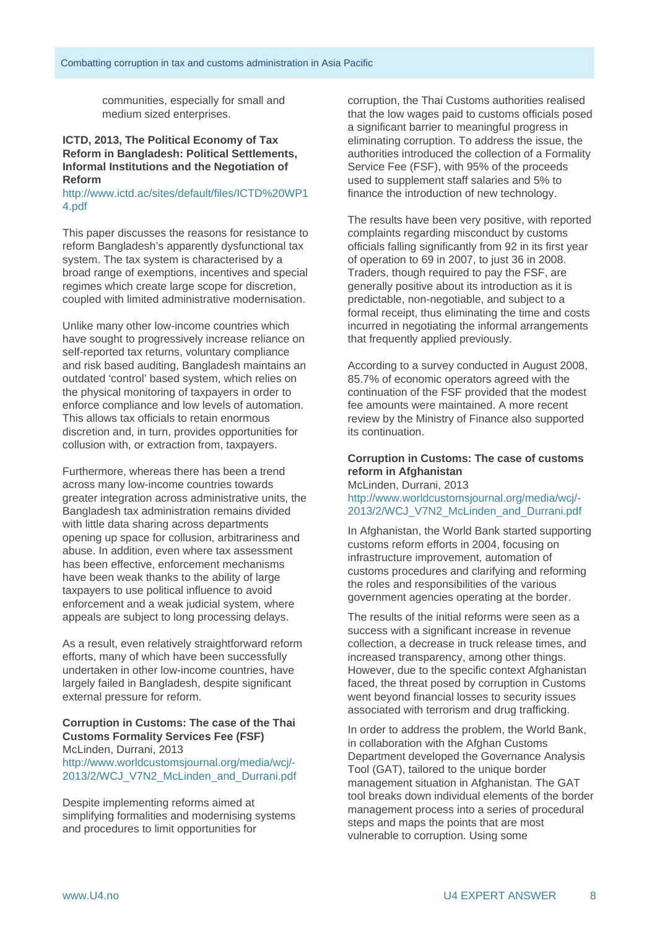communities, especially for small and medium sized enterprises.

#### **ICTD, 2013, The Political Economy of Tax Reform in Bangladesh: Political Settlements, Informal Institutions and the Negotiation of Reform**

[http://www.ictd.ac/sites/default/files/ICTD%20WP1](http://www.ictd.ac/sites/default/files/ICTD%20WP14.pdf) [4.pdf](http://www.ictd.ac/sites/default/files/ICTD%20WP14.pdf)

This paper discusses the reasons for resistance to reform Bangladesh's apparently dysfunctional tax system. The tax system is characterised by a broad range of exemptions, incentives and special regimes which create large scope for discretion, coupled with limited administrative modernisation.

Unlike many other low-income countries which have sought to progressively increase reliance on self-reported tax returns, voluntary compliance and risk based auditing, Bangladesh maintains an outdated 'control' based system, which relies on the physical monitoring of taxpayers in order to enforce compliance and low levels of automation. This allows tax officials to retain enormous discretion and, in turn, provides opportunities for collusion with, or extraction from, taxpayers.

Furthermore, whereas there has been a trend across many low-income countries towards greater integration across administrative units, the Bangladesh tax administration remains divided with little data sharing across departments opening up space for collusion, arbitrariness and abuse. In addition, even where tax assessment has been effective, enforcement mechanisms have been weak thanks to the ability of large taxpayers to use political influence to avoid enforcement and a weak judicial system, where appeals are subject to long processing delays.

As a result, even relatively straightforward reform efforts, many of which have been successfully undertaken in other low-income countries, have largely failed in Bangladesh, despite significant external pressure for reform.

#### **Corruption in Customs: The case of the Thai Customs Formality Services Fee (FSF)** McLinden, Durrani, 2013

[http://www.worldcustomsjournal.org/media/wcj/-](http://www.worldcustomsjournal.org/media/wcj/-2013/2/WCJ_V7N2_McLinden_and_Durrani.pdf) [2013/2/WCJ\\_V7N2\\_McLinden\\_and\\_Durrani.pdf](http://www.worldcustomsjournal.org/media/wcj/-2013/2/WCJ_V7N2_McLinden_and_Durrani.pdf)

Despite implementing reforms aimed at simplifying formalities and modernising systems and procedures to limit opportunities for

corruption, the Thai Customs authorities realised that the low wages paid to customs officials posed a significant barrier to meaningful progress in eliminating corruption. To address the issue, the authorities introduced the collection of a Formality Service Fee (FSF), with 95% of the proceeds used to supplement staff salaries and 5% to finance the introduction of new technology.

The results have been very positive, with reported complaints regarding misconduct by customs officials falling significantly from 92 in its first year of operation to 69 in 2007, to just 36 in 2008. Traders, though required to pay the FSF, are generally positive about its introduction as it is predictable, non-negotiable, and subject to a formal receipt, thus eliminating the time and costs incurred in negotiating the informal arrangements that frequently applied previously.

According to a survey conducted in August 2008, 85.7% of economic operators agreed with the continuation of the FSF provided that the modest fee amounts were maintained. A more recent review by the Ministry of Finance also supported its continuation.

#### **Corruption in Customs: The case of customs reform in Afghanistan**

McLinden, Durrani, 2013 [http://www.worldcustomsjournal.org/media/wcj/-](http://www.worldcustomsjournal.org/media/wcj/-2013/2/WCJ_V7N2_McLinden_and_Durrani.pdf) [2013/2/WCJ\\_V7N2\\_McLinden\\_and\\_Durrani.pdf](http://www.worldcustomsjournal.org/media/wcj/-2013/2/WCJ_V7N2_McLinden_and_Durrani.pdf)

In Afghanistan, the World Bank started supporting customs reform efforts in 2004, focusing on infrastructure improvement, automation of customs procedures and clarifying and reforming the roles and responsibilities of the various government agencies operating at the border.

The results of the initial reforms were seen as a success with a significant increase in revenue collection, a decrease in truck release times, and increased transparency, among other things. However, due to the specific context Afghanistan faced, the threat posed by corruption in Customs went beyond financial losses to security issues associated with terrorism and drug trafficking.

In order to address the problem, the World Bank, in collaboration with the Afghan Customs Department developed the Governance Analysis Tool (GAT), tailored to the unique border management situation in Afghanistan. The GAT tool breaks down individual elements of the border management process into a series of procedural steps and maps the points that are most vulnerable to corruption. Using some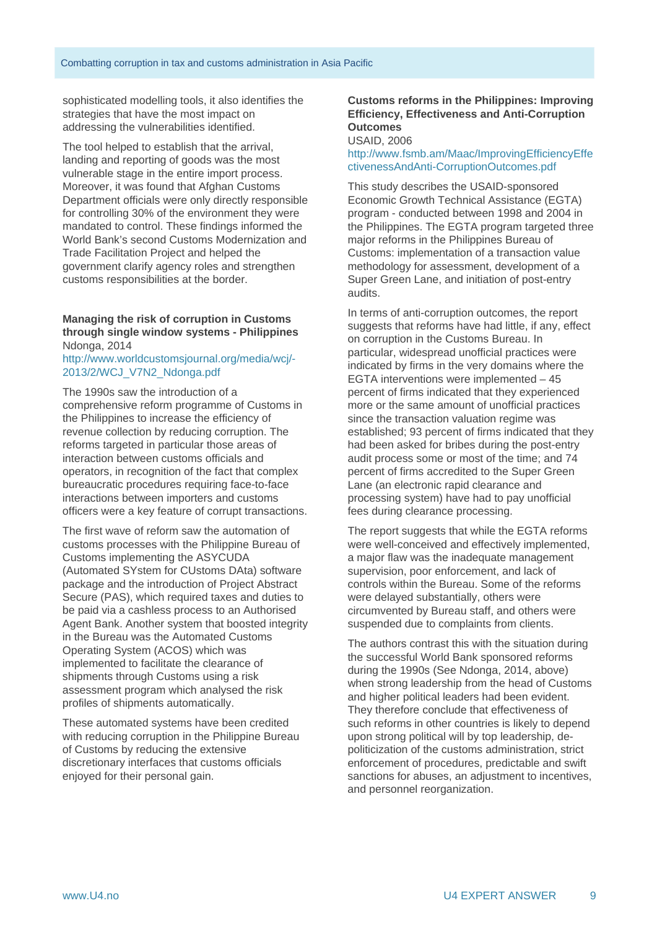sophisticated modelling tools, it also identifies the strategies that have the most impact on addressing the vulnerabilities identified.

The tool helped to establish that the arrival, landing and reporting of goods was the most vulnerable stage in the entire import process. Moreover, it was found that Afghan Customs Department officials were only directly responsible for controlling 30% of the environment they were mandated to control. These findings informed the World Bank's second Customs Modernization and Trade Facilitation Project and helped the government clarify agency roles and strengthen customs responsibilities at the border.

#### **Managing the risk of corruption in Customs through single window systems - Philippines**  Ndonga, 2014

#### [http://www.worldcustomsjournal.org/media/wcj/-](http://www.worldcustomsjournal.org/media/wcj/-2013/2/WCJ_V7N2_Ndonga.pdf) [2013/2/WCJ\\_V7N2\\_Ndonga.pdf](http://www.worldcustomsjournal.org/media/wcj/-2013/2/WCJ_V7N2_Ndonga.pdf)

The 1990s saw the introduction of a comprehensive reform programme of Customs in the Philippines to increase the efficiency of revenue collection by reducing corruption. The reforms targeted in particular those areas of interaction between customs officials and operators, in recognition of the fact that complex bureaucratic procedures requiring face-to-face interactions between importers and customs officers were a key feature of corrupt transactions.

The first wave of reform saw the automation of customs processes with the Philippine Bureau of Customs implementing the ASYCUDA (Automated SYstem for CUstoms DAta) software package and the introduction of Project Abstract Secure (PAS), which required taxes and duties to be paid via a cashless process to an Authorised Agent Bank. Another system that boosted integrity in the Bureau was the Automated Customs Operating System (ACOS) which was implemented to facilitate the clearance of shipments through Customs using a risk assessment program which analysed the risk profiles of shipments automatically.

These automated systems have been credited with reducing corruption in the Philippine Bureau of Customs by reducing the extensive discretionary interfaces that customs officials enjoyed for their personal gain.

#### **Customs reforms in the Philippines: Improving Efficiency, Effectiveness and Anti-Corruption Outcomes**

USAID, 2006

#### [http://www.fsmb.am/Maac/ImprovingEfficiencyEffe](http://www.fsmb.am/Maac/ImprovingEfficiencyEffectivenessAndAnti-CorruptionOutcomes.pdf) [ctivenessAndAnti-CorruptionOutcomes.pdf](http://www.fsmb.am/Maac/ImprovingEfficiencyEffectivenessAndAnti-CorruptionOutcomes.pdf)

This study describes the USAID-sponsored Economic Growth Technical Assistance (EGTA) program - conducted between 1998 and 2004 in the Philippines. The EGTA program targeted three major reforms in the Philippines Bureau of Customs: implementation of a transaction value methodology for assessment, development of a Super Green Lane, and initiation of post-entry audits.

In terms of anti-corruption outcomes, the report suggests that reforms have had little, if any, effect on corruption in the Customs Bureau. In particular, widespread unofficial practices were indicated by firms in the very domains where the EGTA interventions were implemented – 45 percent of firms indicated that they experienced more or the same amount of unofficial practices since the transaction valuation regime was established; 93 percent of firms indicated that they had been asked for bribes during the post-entry audit process some or most of the time; and 74 percent of firms accredited to the Super Green Lane (an electronic rapid clearance and processing system) have had to pay unofficial fees during clearance processing.

The report suggests that while the EGTA reforms were well-conceived and effectively implemented, a major flaw was the inadequate management supervision, poor enforcement, and lack of controls within the Bureau. Some of the reforms were delayed substantially, others were circumvented by Bureau staff, and others were suspended due to complaints from clients.

The authors contrast this with the situation during the successful World Bank sponsored reforms during the 1990s (See Ndonga, 2014, above) when strong leadership from the head of Customs and higher political leaders had been evident. They therefore conclude that effectiveness of such reforms in other countries is likely to depend upon strong political will by top leadership, depoliticization of the customs administration, strict enforcement of procedures, predictable and swift sanctions for abuses, an adjustment to incentives, and personnel reorganization.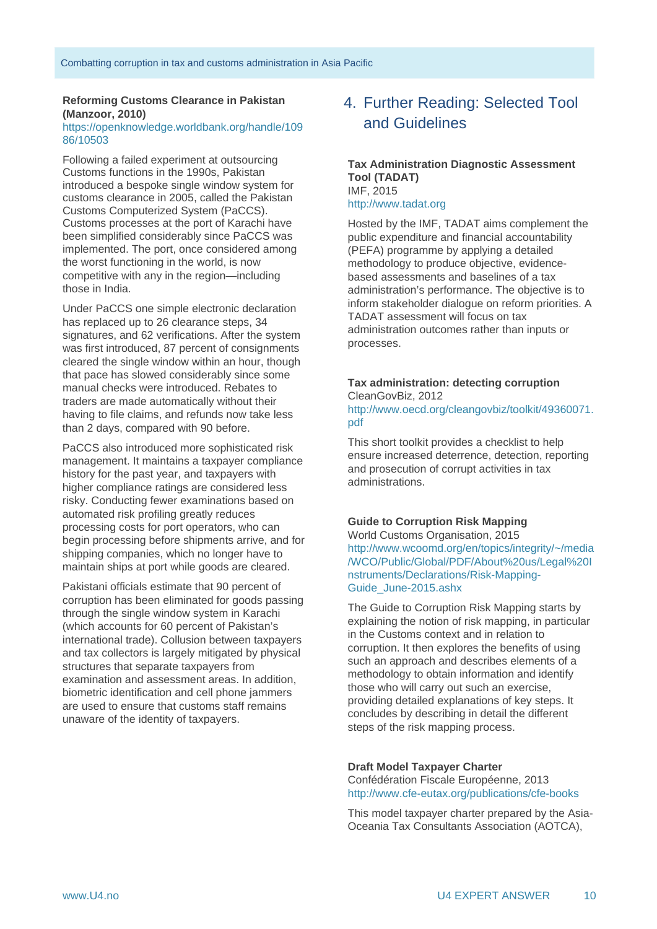#### **Reforming Customs Clearance in Pakistan (Manzoor, 2010)**

#### [https://openknowledge.worldbank.org/handle/109](https://openknowledge.worldbank.org/handle/10986/10503) [86/10503](https://openknowledge.worldbank.org/handle/10986/10503)

Following a failed experiment at outsourcing Customs functions in the 1990s, Pakistan introduced a bespoke single window system for customs clearance in 2005, called the Pakistan Customs Computerized System (PaCCS). Customs processes at the port of Karachi have been simplified considerably since PaCCS was implemented. The port, once considered among the worst functioning in the world, is now competitive with any in the region—including those in India.

Under PaCCS one simple electronic declaration has replaced up to 26 clearance steps, 34 signatures, and 62 verifications. After the system was first introduced, 87 percent of consignments cleared the single window within an hour, though that pace has slowed considerably since some manual checks were introduced. Rebates to traders are made automatically without their having to file claims, and refunds now take less than 2 days, compared with 90 before.

PaCCS also introduced more sophisticated risk management. It maintains a taxpayer compliance history for the past year, and taxpayers with higher compliance ratings are considered less risky. Conducting fewer examinations based on automated risk profiling greatly reduces processing costs for port operators, who can begin processing before shipments arrive, and for shipping companies, which no longer have to maintain ships at port while goods are cleared.

Pakistani officials estimate that 90 percent of corruption has been eliminated for goods passing through the single window system in Karachi (which accounts for 60 percent of Pakistan's international trade). Collusion between taxpayers and tax collectors is largely mitigated by physical structures that separate taxpayers from examination and assessment areas. In addition, biometric identification and cell phone jammers are used to ensure that customs staff remains unaware of the identity of taxpayers.

## 4. Further Reading: Selected Tool and Guidelines

#### **Tax Administration Diagnostic Assessment Tool (TADAT)** IMF, 2015 [http://www.tadat.org](http://www.tadat.org/)

Hosted by the IMF, TADAT aims complement the public expenditure and financial accountability (PEFA) programme by applying a detailed methodology to produce objective, evidencebased assessments and baselines of a tax administration's performance. The objective is to inform stakeholder dialogue on reform priorities. A TADAT assessment will focus on tax administration outcomes rather than inputs or processes.

#### **Tax administration: detecting corruption** CleanGovBiz, 2012

[http://www.oecd.org/cleangovbiz/toolkit/49360071.](http://www.oecd.org/cleangovbiz/toolkit/49360071.pdf) [pdf](http://www.oecd.org/cleangovbiz/toolkit/49360071.pdf)

This short toolkit provides a checklist to help ensure increased deterrence, detection, reporting and prosecution of corrupt activities in tax administrations.

#### **Guide to Corruption Risk Mapping**

World Customs Organisation, 2015 [http://www.wcoomd.org/en/topics/integrity/~/media](http://www.wcoomd.org/en/topics/integrity/%7E/media/WCO/Public/Global/PDF/About%20us/Legal%20Instruments/Declarations/Risk-Mapping-Guide_June-2015.ashx) [/WCO/Public/Global/PDF/About%20us/Legal%20I](http://www.wcoomd.org/en/topics/integrity/%7E/media/WCO/Public/Global/PDF/About%20us/Legal%20Instruments/Declarations/Risk-Mapping-Guide_June-2015.ashx) [nstruments/Declarations/Risk-Mapping-](http://www.wcoomd.org/en/topics/integrity/%7E/media/WCO/Public/Global/PDF/About%20us/Legal%20Instruments/Declarations/Risk-Mapping-Guide_June-2015.ashx)[Guide\\_June-2015.ashx](http://www.wcoomd.org/en/topics/integrity/%7E/media/WCO/Public/Global/PDF/About%20us/Legal%20Instruments/Declarations/Risk-Mapping-Guide_June-2015.ashx)

The Guide to Corruption Risk Mapping starts by explaining the notion of risk mapping, in particular in the Customs context and in relation to corruption. It then explores the benefits of using such an approach and describes elements of a methodology to obtain information and identify those who will carry out such an exercise, providing detailed explanations of key steps. It concludes by describing in detail the different steps of the risk mapping process.

#### **Draft Model Taxpayer Charter**

Confédération Fiscale Européenne, 2013 <http://www.cfe-eutax.org/publications/cfe-books>

This model taxpayer charter prepared by the Asia-Oceania Tax Consultants Association (AOTCA),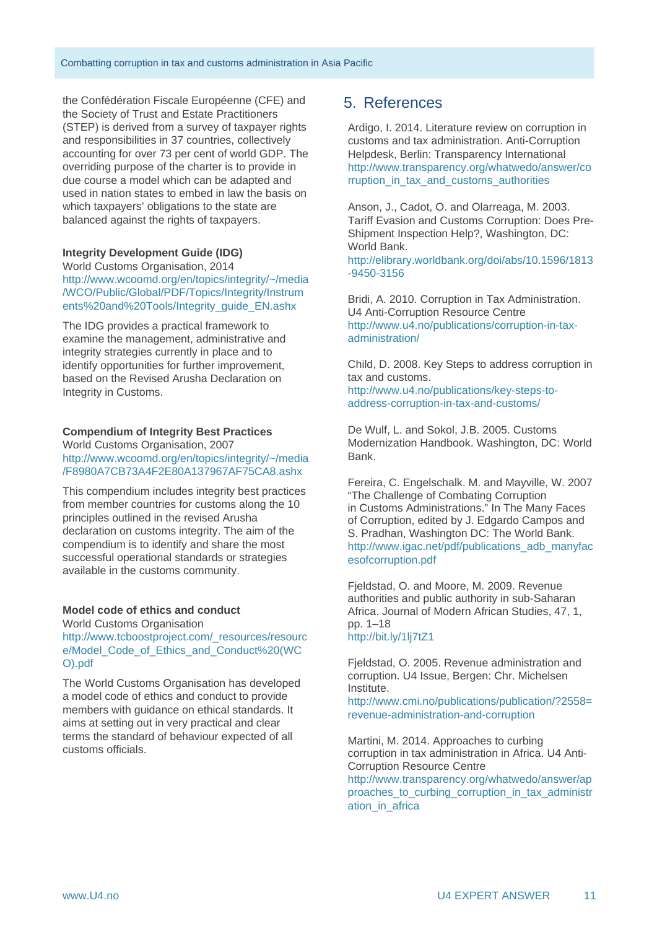the Confédération Fiscale Européenne (CFE) and the Society of Trust and Estate Practitioners (STEP) is derived from a survey of taxpayer rights and responsibilities in 37 countries, collectively accounting for over 73 per cent of world GDP. The overriding purpose of the charter is to provide in due course a model which can be adapted and used in nation states to embed in law the basis on which taxpayers' obligations to the state are balanced against the rights of taxpayers.

#### **Integrity Development Guide (IDG)**

World Customs Organisation, 2014 [http://www.wcoomd.org/en/topics/integrity/~/media](http://www.wcoomd.org/en/topics/integrity/%7E/media/WCO/Public/Global/PDF/Topics/Integrity/Instruments%20and%20Tools/Integrity_guide_EN.ashx) [/WCO/Public/Global/PDF/Topics/Integrity/Instrum](http://www.wcoomd.org/en/topics/integrity/%7E/media/WCO/Public/Global/PDF/Topics/Integrity/Instruments%20and%20Tools/Integrity_guide_EN.ashx) [ents%20and%20Tools/Integrity\\_guide\\_EN.ashx](http://www.wcoomd.org/en/topics/integrity/%7E/media/WCO/Public/Global/PDF/Topics/Integrity/Instruments%20and%20Tools/Integrity_guide_EN.ashx)

The IDG provides a practical framework to examine the management, administrative and integrity strategies currently in place and to identify opportunities for further improvement, based on the Revised Arusha Declaration on Integrity in Customs.

#### **Compendium of Integrity Best Practices**

World Customs Organisation, 2007 http://www.wcoomd.org/en/topics/integrity/~/media /F8980A7CB73A4F2E80A137967AF75CA8.ashx

This compendium includes integrity best practices from member countries for customs along the 10 principles outlined in the revised Arusha declaration on customs integrity. The aim of the compendium is to identify and share the most successful operational standards or strategies available in the customs community.

#### **Model code of ethics and conduct**

World Customs Organisation http://www.tcboostproject.com/\_resources/resourc e/Model\_Code\_of\_Ethics\_and\_Conduct%20(WC O).pdf

The World Customs Organisation has developed a model code of ethics and conduct to provide members with guidance on ethical standards. It aims at setting out in very practical and clear terms the standard of behaviour expected of all customs officials.

#### 5. References

Ardigo, I. 2014. Literature review on corruption in customs and tax administration. Anti-Corruption Helpdesk, Berlin: Transparency International [http://www.transparency.org/whatwedo/answer/co](http://www.transparency.org/whatwedo/answer/corruption_in_tax_and_customs_authorities) rruption in tax and customs authorities

Anson, J., Cadot, O. and Olarreaga, M. 2003. Tariff Evasion and Customs Corruption: Does Pre-Shipment Inspection Help?, Washington, DC: World Bank.

[http://elibrary.worldbank.org/doi/abs/10.1596/1813](http://elibrary.worldbank.org/doi/abs/10.1596/1813-9450-3156) [-9450-3156](http://elibrary.worldbank.org/doi/abs/10.1596/1813-9450-3156) 

Bridi, A. 2010. Corruption in Tax Administration. U4 Anti-Corruption Resource Centre [http://www.u4.no/publications/corruption-in-tax](http://www.u4.no/publications/corruption-in-tax-administration/)[administration/](http://www.u4.no/publications/corruption-in-tax-administration/)

Child, D. 2008. Key Steps to address corruption in tax and customs. [http://www.u4.no/publications/key-steps-to](http://www.u4.no/publications/key-steps-to-address-corruption-in-tax-and-customs/)[address-corruption-in-tax-and-customs/](http://www.u4.no/publications/key-steps-to-address-corruption-in-tax-and-customs/)

De Wulf, L. and Sokol, J.B. 2005. Customs Modernization Handbook. Washington, DC: World Bank.

Fereira, C. Engelschalk. M. and Mayville, W. 2007 "The Challenge of Combating Corruption in Customs Administrations." In The Many Faces of Corruption, edited by J. Edgardo Campos and S. Pradhan, Washington DC: The World Bank. [http://www.igac.net/pdf/publications\\_adb\\_manyfac](http://www.igac.net/pdf/publications_adb_manyfacesofcorruption.pdf) [esofcorruption.pdf](http://www.igac.net/pdf/publications_adb_manyfacesofcorruption.pdf)

Fjeldstad, O. and Moore, M. 2009. Revenue authorities and public authority in sub-Saharan Africa. Journal of Modern African Studies, 47, 1, pp. 1–18 <http://bit.ly/1lj7tZ1>

Fjeldstad, O. 2005. Revenue administration and corruption. U4 Issue, Bergen: Chr. Michelsen Institute.

http://www.cmi.no/publications/publication/?2558= revenue-administration-and-corruption

Martini, M. 2014. Approaches to curbing corruption in tax administration in Africa. U4 Anti-Corruption Resource Centre [http://www.transparency.org/whatwedo/answer/ap](http://www.transparency.org/whatwedo/answer/approaches_to_curbing_corruption_in_tax_administration_in_africa) proaches to curbing corruption in tax administr ation in africa